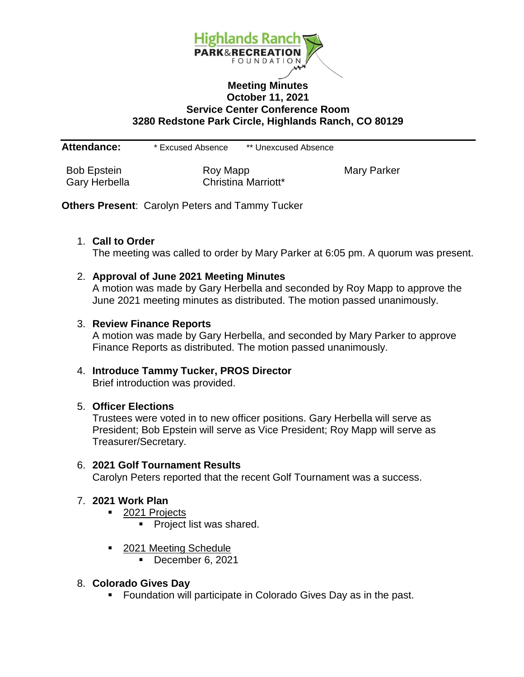

## **Meeting Minutes October 11, 2021 Service Center Conference Room 3280 Redstone Park Circle, Highlands Ranch, CO 80129**

**Attendance:** \* Excused Absence \*\* Unexcused Absence

Bob Epstein **Roy Mapp** Roy Mapp Mary Parker Gary Herbella **Christina Marriott**\*

**Others Present**: Carolyn Peters and Tammy Tucker

#### 1. **Call to Order**

The meeting was called to order by Mary Parker at 6:05 pm. A quorum was present.

#### 2. **Approval of June 2021 Meeting Minutes**

A motion was made by Gary Herbella and seconded by Roy Mapp to approve the June 2021 meeting minutes as distributed. The motion passed unanimously.

#### 3. **Review Finance Reports**

A motion was made by Gary Herbella, and seconded by Mary Parker to approve Finance Reports as distributed. The motion passed unanimously.

# 4. **Introduce Tammy Tucker, PROS Director**

Brief introduction was provided.

## 5. **Officer Elections**

Trustees were voted in to new officer positions. Gary Herbella will serve as President; Bob Epstein will serve as Vice President; Roy Mapp will serve as Treasurer/Secretary.

## 6. **2021 Golf Tournament Results**

Carolyn Peters reported that the recent Golf Tournament was a success.

## 7. **2021 Work Plan**

- 2021 Projects
	- **Project list was shared.**
- 2021 Meeting Schedule
	- December 6, 2021

## 8. **Colorado Gives Day**

**Foundation will participate in Colorado Gives Day as in the past.**